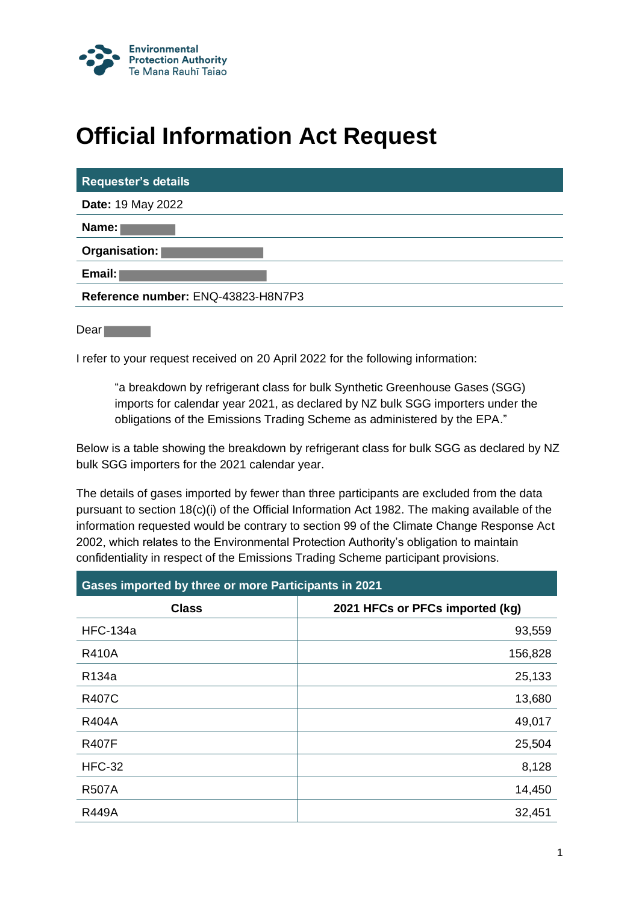

## **Official Information Act Request**

| <b>Requester's details</b>         |  |
|------------------------------------|--|
| <b>Date: 19 May 2022</b>           |  |
| Name: I                            |  |
| Organisation:                      |  |
| Email: I                           |  |
| Reference number: ENQ-43823-H8N7P3 |  |
|                                    |  |

Dear<sub>1</sub>

I refer to your request received on 20 April 2022 for the following information:

"a breakdown by refrigerant class for bulk Synthetic Greenhouse Gases (SGG) imports for calendar year 2021, as declared by NZ bulk SGG importers under the obligations of the Emissions Trading Scheme as administered by the EPA."

Below is a table showing the breakdown by refrigerant class for bulk SGG as declared by NZ bulk SGG importers for the 2021 calendar year.

The details of gases imported by fewer than three participants are excluded from the data pursuant to section 18(c)(i) of the Official Information Act 1982. The making available of the information requested would be contrary to section 99 of the Climate Change Response Act 2002, which relates to the Environmental Protection Authority's obligation to maintain confidentiality in respect of the Emissions Trading Scheme participant provisions.

| <b>Gases imported by three or more Participants in 2021</b> |                                 |  |
|-------------------------------------------------------------|---------------------------------|--|
| <b>Class</b>                                                | 2021 HFCs or PFCs imported (kg) |  |
| <b>HFC-134a</b>                                             | 93,559                          |  |
| <b>R410A</b>                                                | 156,828                         |  |
| R <sub>134</sub> a                                          | 25,133                          |  |
| <b>R407C</b>                                                | 13,680                          |  |
| <b>R404A</b>                                                | 49,017                          |  |
| <b>R407F</b>                                                | 25,504                          |  |
| <b>HFC-32</b>                                               | 8,128                           |  |
| <b>R507A</b>                                                | 14,450                          |  |
| <b>R449A</b>                                                | 32,451                          |  |